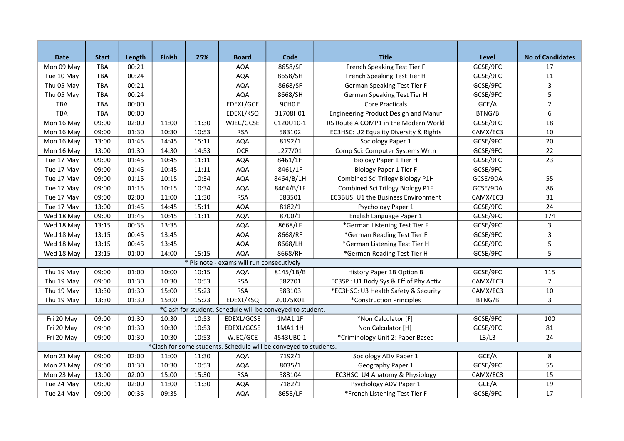| <b>Date</b>                                                      | <b>Start</b> | Length | Finish | 25%   | <b>Board</b>                              | Code      | <b>Title</b>                                | Level    | <b>No of Candidates</b> |  |
|------------------------------------------------------------------|--------------|--------|--------|-------|-------------------------------------------|-----------|---------------------------------------------|----------|-------------------------|--|
| Mon 09 May                                                       | <b>TBA</b>   | 00:21  |        |       | <b>AQA</b>                                | 8658/SF   | French Speaking Test Tier F                 | GCSE/9FC | 17                      |  |
| Tue 10 May                                                       | <b>TBA</b>   | 00:24  |        |       | <b>AQA</b>                                | 8658/SH   | French Speaking Test Tier H                 | GCSE/9FC | 11                      |  |
| Thu 05 May                                                       | <b>TBA</b>   | 00:21  |        |       | <b>AQA</b>                                | 8668/SF   | German Speaking Test Tier F                 | GCSE/9FC | 3                       |  |
| Thu 05 May                                                       | <b>TBA</b>   | 00:24  |        |       | <b>AQA</b>                                | 8668/SH   | German Speaking Test Tier H                 | GCSE/9FC | 5                       |  |
| TBA                                                              | <b>TBA</b>   | 00:00  |        |       | EDEXL/GCE                                 | 9CHOE     | <b>Core Practicals</b>                      | GCE/A    | $\overline{2}$          |  |
| TBA                                                              | <b>TBA</b>   | 00:00  |        |       | EDEXL/KSQ                                 | 31708H01  | <b>Engineering Product Design and Manuf</b> | BTNG/B   | 6                       |  |
| Mon 16 May                                                       | 09:00        | 02:00  | 11:00  | 11:30 | WJEC/GCSE                                 | C120U10-1 | RS Route A COMP1 in the Modern World        | GCSE/9FC | 18                      |  |
| Mon 16 May                                                       | 09:00        | 01:30  | 10:30  | 10:53 | <b>RSA</b>                                | 583102    | EC3HSC: U2 Equality Diversity & Rights      | CAMX/EC3 | 10                      |  |
| Mon 16 May                                                       | 13:00        | 01:45  | 14:45  | 15:11 | <b>AQA</b>                                | 8192/1    | Sociology Paper 1                           | GCSE/9FC | 20                      |  |
| Mon 16 May                                                       | 13:00        | 01:30  | 14:30  | 14:53 | OCR                                       | J277/01   | Comp Sci: Computer Systems Wrtn             | GCSE/9FC | 22                      |  |
| Tue 17 May                                                       | 09:00        | 01:45  | 10:45  | 11:11 | AQA                                       | 8461/1H   | Biology Paper 1 Tier H                      | GCSE/9FC | 23                      |  |
| Tue 17 May                                                       | 09:00        | 01:45  | 10:45  | 11:11 | <b>AQA</b>                                | 8461/1F   | <b>Biology Paper 1 Tier F</b>               | GCSE/9FC |                         |  |
| Tue 17 May                                                       | 09:00        | 01:15  | 10:15  | 10:34 | AQA                                       | 8464/B/1H | Combined Sci Trilogy Biology P1H            | GCSE/9DA | 55                      |  |
| Tue 17 May                                                       | 09:00        | 01:15  | 10:15  | 10:34 | <b>AQA</b>                                | 8464/B/1F | Combined Sci Trilogy Biology P1F            | GCSE/9DA | 86                      |  |
| Tue 17 May                                                       | 09:00        | 02:00  | 11:00  | 11:30 | <b>RSA</b>                                | 583501    | EC3BUS: U1 the Business Environment         | CAMX/EC3 | 31                      |  |
| Tue 17 May                                                       | 13:00        | 01:45  | 14:45  | 15:11 | <b>AQA</b>                                | 8182/1    | Psychology Paper 1                          | GCSE/9FC | 24                      |  |
| Wed 18 May                                                       | 09:00        | 01:45  | 10:45  | 11:11 | <b>AQA</b>                                | 8700/1    | English Language Paper 1                    | GCSE/9FC | 174                     |  |
| Wed 18 May                                                       | 13:15        | 00:35  | 13:35  |       | <b>AQA</b>                                | 8668/LF   | *German Listening Test Tier F               | GCSE/9FC | $\mathbf{3}$            |  |
| Wed 18 May                                                       | 13:15        | 00:45  | 13:45  |       | <b>AQA</b>                                | 8668/RF   | *German Reading Test Tier F                 | GCSE/9FC | 3                       |  |
| Wed 18 May                                                       | 13:15        | 00:45  | 13:45  |       | <b>AQA</b>                                | 8668/LH   | *German Listening Test Tier H               | GCSE/9FC | 5                       |  |
| Wed 18 May                                                       | 13:15        | 01:00  | 14:00  | 15:15 | <b>AQA</b>                                | 8668/RH   | *German Reading Test Tier H                 | GCSE/9FC | 5                       |  |
|                                                                  |              |        |        |       | * Pls note - exams will run consecutively |           |                                             |          |                         |  |
| Thu 19 May                                                       | 09:00        | 01:00  | 10:00  | 10:15 | <b>AQA</b>                                | 8145/1B/B | History Paper 1B Option B                   | GCSE/9FC | 115                     |  |
| Thu 19 May                                                       | 09:00        | 01:30  | 10:30  | 10:53 | <b>RSA</b>                                | 582701    | EC3SP: U1 Body Sys & Eff of Phy Activ       | CAMX/EC3 | $\overline{7}$          |  |
| Thu 19 May                                                       | 13:30        | 01:30  | 15:00  | 15:23 | <b>RSA</b>                                | 583103    | *EC3HSC: U3 Health Safety & Security        | CAMX/EC3 | 10                      |  |
| Thu 19 May                                                       | 13:30        | 01:30  | 15:00  | 15:23 | EDEXL/KSQ                                 | 20075K01  | *Construction Principles                    | BTNG/B   | $\mathbf{3}$            |  |
| *Clash for student. Schedule will be conveyed to student.        |              |        |        |       |                                           |           |                                             |          |                         |  |
| Fri 20 May                                                       | 09:00        | 01:30  | 10:30  | 10:53 | EDEXL/GCSE                                | 1MA1 1F   | *Non Calculator [F]                         | GCSE/9FC | 100                     |  |
| Fri 20 May                                                       | 09:00        | 01:30  | 10:30  | 10:53 | EDEXL/GCSE                                | 1MA1 1H   | Non Calculator [H]                          | GCSE/9FC | 81                      |  |
| Fri 20 May                                                       | 09:00        | 01:30  | 10:30  | 10:53 | WJEC/GCE                                  | 4543UB0-1 | *Criminology Unit 2: Paper Based            | L3/L3    | 24                      |  |
| *Clash for some students. Schedule will be conveyed to students. |              |        |        |       |                                           |           |                                             |          |                         |  |
| Mon 23 May                                                       | 09:00        | 02:00  | 11:00  | 11:30 | <b>AQA</b>                                | 7192/1    | Sociology ADV Paper 1                       | GCE/A    | 8                       |  |
| Mon 23 May                                                       | 09:00        | 01:30  | 10:30  | 10:53 | <b>AQA</b>                                | 8035/1    | Geography Paper 1                           | GCSE/9FC | 55                      |  |
| Mon 23 May                                                       | 13:00        | 02:00  | 15:00  | 15:30 | <b>RSA</b>                                | 583104    | EC3HSC: U4 Anatomy & Physiology             | CAMX/EC3 | 15                      |  |
| Tue 24 May                                                       | 09:00        | 02:00  | 11:00  | 11:30 | AQA                                       | 7182/1    | Psychology ADV Paper 1                      | GCE/A    | 19                      |  |
| Tue 24 May                                                       | 09:00        | 00:35  | 09:35  |       | <b>AQA</b>                                | 8658/LF   | *French Listening Test Tier F               | GCSE/9FC | 17                      |  |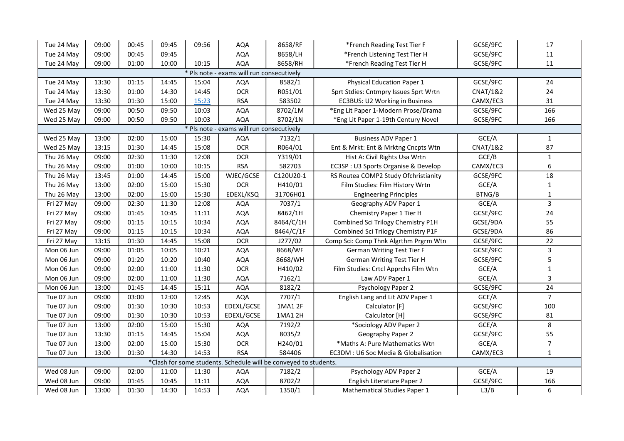| Tue 24 May                                | 09:00                                                            | 00:45 | 09:45 | 09:56 | AQA                                       | 8658/RF   | *French Reading Test Tier F           | GCSE/9FC            | 17               |  |  |
|-------------------------------------------|------------------------------------------------------------------|-------|-------|-------|-------------------------------------------|-----------|---------------------------------------|---------------------|------------------|--|--|
| Tue 24 May                                | 09:00                                                            | 00:45 | 09:45 |       | <b>AQA</b>                                | 8658/LH   | *French Listening Test Tier H         | GCSE/9FC            | $11\,$           |  |  |
| Tue 24 May                                | 09:00                                                            | 01:00 | 10:00 | 10:15 | <b>AQA</b>                                | 8658/RH   | *French Reading Test Tier H           | GCSE/9FC            | 11               |  |  |
| * Pls note - exams will run consecutively |                                                                  |       |       |       |                                           |           |                                       |                     |                  |  |  |
| Tue 24 May                                | 13:30                                                            | 01:15 | 14:45 | 15:04 | <b>AQA</b>                                | 8582/1    | <b>Physical Education Paper 1</b>     | GCSE/9FC            | 24               |  |  |
| Tue 24 May                                | 13:30                                                            | 01:00 | 14:30 | 14:45 | <b>OCR</b>                                | R051/01   | Sprt Stdies: Cntmpry Issues Sprt Wrtn | <b>CNAT/1&amp;2</b> | 24               |  |  |
| Tue 24 May                                | 13:30                                                            | 01:30 | 15:00 | 15:23 | <b>RSA</b>                                | 583502    | EC3BUS: U2 Working in Business        | CAMX/EC3            | 31               |  |  |
| Wed 25 May                                | 09:00                                                            | 00:50 | 09:50 | 10:03 | <b>AQA</b>                                | 8702/1M   | *Eng Lit Paper 1-Modern Prose/Drama   | GCSE/9FC            | 166              |  |  |
| Wed 25 May                                | 09:00                                                            | 00:50 | 09:50 | 10:03 | <b>AQA</b>                                | 8702/1N   | *Eng Lit Paper 1-19th Century Novel   | GCSE/9FC            | 166              |  |  |
|                                           |                                                                  |       |       |       | * Pls note - exams will run consecutively |           |                                       |                     |                  |  |  |
| Wed 25 May                                | 13:00                                                            | 02:00 | 15:00 | 15:30 | <b>AQA</b>                                | 7132/1    | <b>Business ADV Paper 1</b>           | GCE/A               | $\mathbf{1}$     |  |  |
| Wed 25 May                                | 13:15                                                            | 01:30 | 14:45 | 15:08 | <b>OCR</b>                                | R064/01   | Ent & Mrkt: Ent & Mrktng Cncpts Wtn   | <b>CNAT/1&amp;2</b> | 87               |  |  |
| Thu 26 May                                | 09:00                                                            | 02:30 | 11:30 | 12:08 | <b>OCR</b>                                | Y319/01   | Hist A: Civil Rights Usa Wrtn         | GCE/B               | $\mathbf 1$      |  |  |
| Thu 26 May                                | 09:00                                                            | 01:00 | 10:00 | 10:15 | <b>RSA</b>                                | 582703    | EC3SP: U3 Sports Organise & Develop   | CAMX/EC3            | $\boldsymbol{6}$ |  |  |
| Thu 26 May                                | 13:45                                                            | 01:00 | 14:45 | 15:00 | WJEC/GCSE                                 | C120U20-1 | RS Routea COMP2 Study Ofchristianity  | GCSE/9FC            | 18               |  |  |
| Thu 26 May                                | 13:00                                                            | 02:00 | 15:00 | 15:30 | <b>OCR</b>                                | H410/01   | Film Studies: Film History Wrtn       | GCE/A               | $\mathbf{1}$     |  |  |
| Thu 26 May                                | 13:00                                                            | 02:00 | 15:00 | 15:30 | EDEXL/KSQ                                 | 31706H01  | <b>Engineering Principles</b>         | BTNG/B              | $\mathbf 1$      |  |  |
| Fri 27 May                                | 09:00                                                            | 02:30 | 11:30 | 12:08 | <b>AQA</b>                                | 7037/1    | Geography ADV Paper 1                 | GCE/A               | $\overline{3}$   |  |  |
| Fri 27 May                                | 09:00                                                            | 01:45 | 10:45 | 11:11 | <b>AQA</b>                                | 8462/1H   | Chemistry Paper 1 Tier H              | GCSE/9FC            | 24               |  |  |
| Fri 27 May                                | 09:00                                                            | 01:15 | 10:15 | 10:34 | <b>AQA</b>                                | 8464/C/1H | Combined Sci Trilogy Chemistry P1H    | GCSE/9DA            | 55               |  |  |
| Fri 27 May                                | 09:00                                                            | 01:15 | 10:15 | 10:34 | <b>AQA</b>                                | 8464/C/1F | Combined Sci Trilogy Chemistry P1F    | GCSE/9DA            | 86               |  |  |
| Fri 27 May                                | 13:15                                                            | 01:30 | 14:45 | 15:08 | <b>OCR</b>                                | J277/02   | Comp Sci: Comp Thnk Algrthm Prgrm Wtn | GCSE/9FC            | 22               |  |  |
| Mon 06 Jun                                | 09:00                                                            | 01:05 | 10:05 | 10:21 | AQA                                       | 8668/WF   | German Writing Test Tier F            | GCSE/9FC            | $\mathbf{3}$     |  |  |
| Mon 06 Jun                                | 09:00                                                            | 01:20 | 10:20 | 10:40 | AQA                                       | 8668/WH   | <b>German Writing Test Tier H</b>     | GCSE/9FC            | 5                |  |  |
| Mon 06 Jun                                | 09:00                                                            | 02:00 | 11:00 | 11:30 | <b>OCR</b>                                | H410/02   | Film Studies: Crtcl Apprchs Film Wtn  | GCE/A               | $\mathbf 1$      |  |  |
| Mon 06 Jun                                | 09:00                                                            | 02:00 | 11:00 | 11:30 | <b>AQA</b>                                | 7162/1    | Law ADV Paper 1                       | GCE/A               | 3                |  |  |
| Mon 06 Jun                                | 13:00                                                            | 01:45 | 14:45 | 15:11 | <b>AQA</b>                                | 8182/2    | Psychology Paper 2                    | GCSE/9FC            | 24               |  |  |
| Tue 07 Jun                                | 09:00                                                            | 03:00 | 12:00 | 12:45 | <b>AQA</b>                                | 7707/1    | English Lang and Lit ADV Paper 1      | GCE/A               | $\overline{7}$   |  |  |
| Tue 07 Jun                                | 09:00                                                            | 01:30 | 10:30 | 10:53 | EDEXL/GCSE                                | 1MA1 2F   | Calculator [F]                        | GCSE/9FC            | 100              |  |  |
| Tue 07 Jun                                | 09:00                                                            | 01:30 | 10:30 | 10:53 | EDEXL/GCSE                                | 1MA1 2H   | Calculator [H]                        | GCSE/9FC            | 81               |  |  |
| Tue 07 Jun                                | 13:00                                                            | 02:00 | 15:00 | 15:30 | <b>AQA</b>                                | 7192/2    | *Sociology ADV Paper 2                | GCE/A               | 8                |  |  |
| Tue 07 Jun                                | 13:30                                                            | 01:15 | 14:45 | 15:04 | <b>AQA</b>                                | 8035/2    | Geography Paper 2                     | GCSE/9FC            | 55               |  |  |
| Tue 07 Jun                                | 13:00                                                            | 02:00 | 15:00 | 15:30 | OCR                                       | H240/01   | *Maths A: Pure Mathematics Wtn        | GCE/A               | $\overline{7}$   |  |  |
| Tue 07 Jun                                | 13:00                                                            | 01:30 | 14:30 | 14:53 | <b>RSA</b>                                | 584406    | EC3DM : U6 Soc Media & Globalisation  | CAMX/EC3            | $\mathbf 1$      |  |  |
|                                           | *Clash for some students. Schedule will be conveyed to students. |       |       |       |                                           |           |                                       |                     |                  |  |  |
| Wed 08 Jun                                | 09:00                                                            | 02:00 | 11:00 | 11:30 | <b>AQA</b>                                | 7182/2    | Psychology ADV Paper 2                | GCE/A               | 19               |  |  |
| Wed 08 Jun                                | 09:00                                                            | 01:45 | 10:45 | 11:11 | AQA                                       | 8702/2    | English Literature Paper 2            | GCSE/9FC            | 166              |  |  |
| Wed 08 Jun                                | 13:00                                                            | 01:30 | 14:30 | 14:53 | <b>AQA</b>                                | 1350/1    | Mathematical Studies Paper 1          | L3/B                | $\boldsymbol{6}$ |  |  |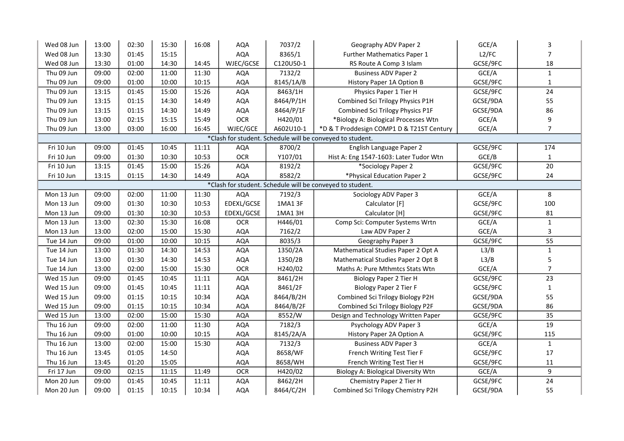| Wed 08 Jun | 13:00 | 02:30 | 15:30 | 16:08 | <b>AQA</b> | 7037/2    | Geography ADV Paper 2                                     | GCE/A    | 3              |
|------------|-------|-------|-------|-------|------------|-----------|-----------------------------------------------------------|----------|----------------|
| Wed 08 Jun | 13:30 | 01:45 | 15:15 |       | AQA        | 8365/1    | Further Mathematics Paper 1                               | L2/FC    | $\overline{7}$ |
| Wed 08 Jun | 13:30 | 01:00 | 14:30 | 14:45 | WJEC/GCSE  | C120U50-1 | RS Route A Comp 3 Islam                                   | GCSE/9FC | 18             |
| Thu 09 Jun | 09:00 | 02:00 | 11:00 | 11:30 | AQA        | 7132/2    | <b>Business ADV Paper 2</b>                               | GCE/A    | $\mathbf 1$    |
| Thu 09 Jun | 09:00 | 01:00 | 10:00 | 10:15 | <b>AQA</b> | 8145/1A/B | History Paper 1A Option B                                 | GCSE/9FC | $\mathbf 1$    |
| Thu 09 Jun | 13:15 | 01:45 | 15:00 | 15:26 | AQA        | 8463/1H   | Physics Paper 1 Tier H                                    | GCSE/9FC | 24             |
| Thu 09 Jun | 13:15 | 01:15 | 14:30 | 14:49 | <b>AQA</b> | 8464/P/1H | Combined Sci Trilogy Physics P1H                          | GCSE/9DA | 55             |
| Thu 09 Jun | 13:15 | 01:15 | 14:30 | 14:49 | AQA        | 8464/P/1F | Combined Sci Trilogy Physics P1F                          | GCSE/9DA | 86             |
| Thu 09 Jun | 13:00 | 02:15 | 15:15 | 15:49 | <b>OCR</b> | H420/01   | *Biology A: Biological Processes Wtn                      | GCE/A    | 9              |
| Thu 09 Jun | 13:00 | 03:00 | 16:00 | 16:45 | WJEC/GCE   | A602U10-1 | *D & T Proddesign COMP1 D & T21ST Century                 | GCE/A    | $\overline{7}$ |
|            |       |       |       |       |            |           | *Clash for student. Schedule will be conveyed to student. |          |                |
| Fri 10 Jun | 09:00 | 01:45 | 10:45 | 11:11 | AQA        | 8700/2    | English Language Paper 2                                  | GCSE/9FC | 174            |
| Fri 10 Jun | 09:00 | 01:30 | 10:30 | 10:53 | OCR        | Y107/01   | Hist A: Eng 1547-1603: Later Tudor Wtn                    | GCE/B    | $\mathbf{1}$   |
| Fri 10 Jun | 13:15 | 01:45 | 15:00 | 15:26 | AQA        | 8192/2    | *Sociology Paper 2                                        | GCSE/9FC | 20             |
| Fri 10 Jun | 13:15 | 01:15 | 14:30 | 14:49 | <b>AQA</b> | 8582/2    | *Physical Education Paper 2                               | GCSE/9FC | 24             |
|            |       |       |       |       |            |           | *Clash for student. Schedule will be conveyed to student. |          |                |
| Mon 13 Jun | 09:00 | 02:00 | 11:00 | 11:30 | <b>AQA</b> | 7192/3    | Sociology ADV Paper 3                                     | GCE/A    | 8              |
| Mon 13 Jun | 09:00 | 01:30 | 10:30 | 10:53 | EDEXL/GCSE | 1MA1 3F   | Calculator [F]                                            | GCSE/9FC | 100            |
| Mon 13 Jun | 09:00 | 01:30 | 10:30 | 10:53 | EDEXL/GCSE | 1MA1 3H   | Calculator [H]                                            | GCSE/9FC | 81             |
| Mon 13 Jun | 13:00 | 02:30 | 15:30 | 16:08 | <b>OCR</b> | H446/01   | Comp Sci: Computer Systems Wrtn                           | GCE/A    | $\mathbf 1$    |
| Mon 13 Jun | 13:00 | 02:00 | 15:00 | 15:30 | <b>AQA</b> | 7162/2    | Law ADV Paper 2                                           | GCE/A    | 3              |
| Tue 14 Jun | 09:00 | 01:00 | 10:00 | 10:15 | <b>AQA</b> | 8035/3    | Geography Paper 3                                         | GCSE/9FC | 55             |
| Tue 14 Jun | 13:00 | 01:30 | 14:30 | 14:53 | <b>AQA</b> | 1350/2A   | Mathematical Studies Paper 2 Opt A                        | L3/B     | $\mathbf{1}$   |
| Tue 14 Jun | 13:00 | 01:30 | 14:30 | 14:53 | <b>AQA</b> | 1350/2B   | Mathematical Studies Paper 2 Opt B                        | L3/B     | 5              |
| Tue 14 Jun | 13:00 | 02:00 | 15:00 | 15:30 | <b>OCR</b> | H240/02   | Maths A: Pure Mthmtcs Stats Wtn                           | GCE/A    | $\overline{7}$ |
| Wed 15 Jun | 09:00 | 01:45 | 10:45 | 11:11 | AQA        | 8461/2H   | Biology Paper 2 Tier H                                    | GCSE/9FC | 23             |
| Wed 15 Jun | 09:00 | 01:45 | 10:45 | 11:11 | <b>AQA</b> | 8461/2F   | Biology Paper 2 Tier F                                    | GCSE/9FC | $\mathbf 1$    |
| Wed 15 Jun | 09:00 | 01:15 | 10:15 | 10:34 | <b>AQA</b> | 8464/B/2H | Combined Sci Trilogy Biology P2H                          | GCSE/9DA | 55             |
| Wed 15 Jun | 09:00 | 01:15 | 10:15 | 10:34 | <b>AQA</b> | 8464/B/2F | Combined Sci Trilogy Biology P2F                          | GCSE/9DA | 86             |
| Wed 15 Jun | 13:00 | 02:00 | 15:00 | 15:30 | <b>AQA</b> | 8552/W    | Design and Technology Written Paper                       | GCSE/9FC | 35             |
| Thu 16 Jun | 09:00 | 02:00 | 11:00 | 11:30 | AQA        | 7182/3    | Psychology ADV Paper 3                                    | GCE/A    | 19             |
| Thu 16 Jun | 09:00 | 01:00 | 10:00 | 10:15 | <b>AQA</b> | 8145/2A/A | History Paper 2A Option A                                 | GCSE/9FC | 115            |
| Thu 16 Jun | 13:00 | 02:00 | 15:00 | 15:30 | AQA        | 7132/3    | <b>Business ADV Paper 3</b>                               | GCE/A    | $\mathbf{1}$   |
| Thu 16 Jun | 13:45 | 01:05 | 14:50 |       | AQA        | 8658/WF   | French Writing Test Tier F                                | GCSE/9FC | $17\,$         |
| Thu 16 Jun | 13:45 | 01:20 | 15:05 |       | AQA        | 8658/WH   | French Writing Test Tier H                                | GCSE/9FC | $11\,$         |
| Fri 17 Jun | 09:00 | 02:15 | 11:15 | 11:49 | OCR        | H420/02   | Biology A: Biological Diversity Wtn                       | GCE/A    | 9              |
| Mon 20 Jun | 09:00 | 01:45 | 10:45 | 11:11 | <b>AQA</b> | 8462/2H   | Chemistry Paper 2 Tier H                                  | GCSE/9FC | 24             |
| Mon 20 Jun | 09:00 | 01:15 | 10:15 | 10:34 | <b>AQA</b> | 8464/C/2H | Combined Sci Trilogy Chemistry P2H                        | GCSE/9DA | 55             |